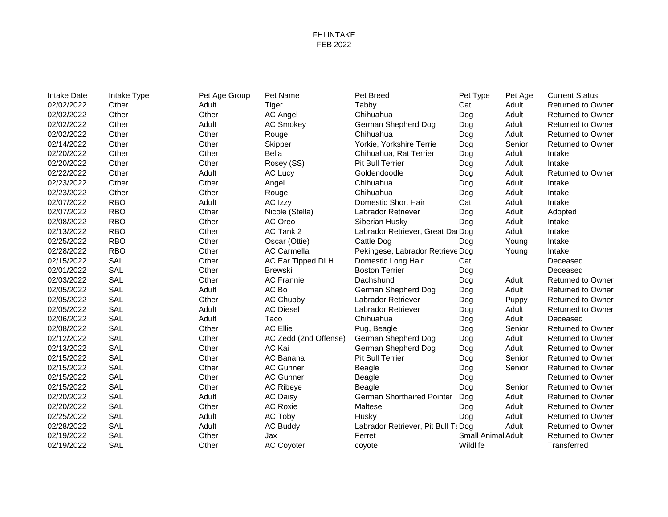## FHI INTAKE FEB 2022

| Other<br>Adult<br>Tabby<br>Adult<br><b>Returned to Owner</b><br>Tiger<br>Cat<br>Other<br>Other<br>Chihuahua<br>Adult<br><b>AC Angel</b><br>Dog<br><b>Returned to Owner</b><br>Adult<br>Adult<br>Other<br><b>AC Smokey</b><br>German Shepherd Dog<br>Dog<br><b>Returned to Owner</b><br>Other<br>Adult<br>Other<br>Chihuahua<br><b>Returned to Owner</b><br>Rouge<br>Dog<br>Other<br>Other<br>Yorkie, Yorkshire Terrie<br>Senior<br><b>Skipper</b><br>Dog<br><b>Returned to Owner</b><br>Other<br><b>Bella</b><br>Adult<br>Other<br>Intake<br>Chihuahua, Rat Terrier<br>Dog<br>Other<br>Intake<br>Other<br>Rosey (SS)<br>Pit Bull Terrier<br>Adult<br>Dog<br>Adult<br>Other<br>Goldendoodle<br>Adult<br>Returned to Owner<br>AC Lucy<br>Dog<br>Other<br>Adult<br>Other<br>Chihuahua<br>Dog<br>Intake<br>Angel<br>Other<br>Other<br>Chihuahua<br>Adult<br>Intake<br>Rouge<br>Dog<br><b>RBO</b><br>Adult<br>AC Izzy<br>Domestic Short Hair<br>Adult<br>Intake<br>Cat<br><b>RBO</b><br>Other<br>Adult<br>Nicole (Stella)<br>Labrador Retriever<br>Dog<br>Adopted<br><b>RBO</b><br>Other<br>AC Oreo<br>Adult<br>Siberian Husky<br>Dog<br>Intake<br><b>RBO</b><br>Other<br>AC Tank 2<br>Adult<br>Intake<br>Labrador Retriever, Great Dal Dog<br><b>RBO</b><br>Other<br>Oscar (Ottie)<br>Cattle Dog<br>Intake<br>Dog<br>Young<br><b>RBO</b><br>Other<br><b>AC Carmella</b><br>Pekingese, Labrador Retrieve Dog<br>Intake<br>Young<br>SAL<br>Other<br>AC Ear Tipped DLH<br>Deceased<br>Domestic Long Hair<br>Cat<br>SAL<br>Other<br><b>Boston Terrier</b><br>Dog<br>Deceased<br><b>Brewski</b><br>SAL<br>Other<br><b>AC Frannie</b><br>Adult<br>Dachshund<br>Dog<br><b>Returned to Owner</b><br>SAL<br>Adult<br>AC Bo<br>German Shepherd Dog<br>Adult<br>Dog<br><b>Returned to Owner</b><br>SAL<br>Other<br>AC Chubby<br>Labrador Retriever<br>Dog<br><b>Returned to Owner</b><br>Puppy<br>SAL<br>Adult<br><b>AC Diesel</b><br>Labrador Retriever<br><b>Returned to Owner</b><br>Dog<br>Adult<br>SAL<br>Adult<br>Taco<br>Adult<br>Chihuahua<br>Dog<br>Deceased<br>SAL<br>Other<br><b>AC Ellie</b><br>Pug, Beagle<br>Dog<br>Senior<br><b>Returned to Owner</b><br>SAL<br>Other<br>AC Zedd (2nd Offense)<br>Adult<br><b>Returned to Owner</b><br>German Shepherd Dog<br>Dog<br>SAL<br>Other<br>AC Kai<br>Adult<br>German Shepherd Dog<br>Dog<br><b>Returned to Owner</b><br>SAL<br>Other<br>AC Banana<br>Pit Bull Terrier<br>Dog<br>Senior<br><b>Returned to Owner</b><br><b>SAL</b><br>Other<br><b>AC Gunner</b><br>Beagle<br>Senior<br>Returned to Owner<br>Dog<br>SAL<br>Other<br><b>AC Gunner</b><br>Beagle<br>Dog<br><b>Returned to Owner</b><br>SAL<br>Other<br><b>AC Ribeye</b><br>Dog<br>Senior<br><b>Returned to Owner</b><br>Beagle<br><b>SAL</b><br>Adult<br><b>AC Daisy</b><br><b>German Shorthaired Pointer</b><br>Adult<br>Returned to Owner<br>Dog<br>SAL<br>Other<br><b>AC Roxie</b><br>Adult<br>Maltese<br>Dog<br><b>Returned to Owner</b><br>SAL<br>Adult<br>Adult<br>AC Toby<br>Dog<br><b>Returned to Owner</b><br>Husky | <b>Intake Date</b> | Intake Type | Pet Age Group | Pet Name        | Pet Breed                           | Pet Type | Pet Age | <b>Current Status</b>    |
|-----------------------------------------------------------------------------------------------------------------------------------------------------------------------------------------------------------------------------------------------------------------------------------------------------------------------------------------------------------------------------------------------------------------------------------------------------------------------------------------------------------------------------------------------------------------------------------------------------------------------------------------------------------------------------------------------------------------------------------------------------------------------------------------------------------------------------------------------------------------------------------------------------------------------------------------------------------------------------------------------------------------------------------------------------------------------------------------------------------------------------------------------------------------------------------------------------------------------------------------------------------------------------------------------------------------------------------------------------------------------------------------------------------------------------------------------------------------------------------------------------------------------------------------------------------------------------------------------------------------------------------------------------------------------------------------------------------------------------------------------------------------------------------------------------------------------------------------------------------------------------------------------------------------------------------------------------------------------------------------------------------------------------------------------------------------------------------------------------------------------------------------------------------------------------------------------------------------------------------------------------------------------------------------------------------------------------------------------------------------------------------------------------------------------------------------------------------------------------------------------------------------------------------------------------------------------------------------------------------------------------------------------------------------------------------------------------------------------------------------------------------------------------------------------------------------------------------------------------------------------------------------------------------------------------------------------------------------------------------------------------------------------------------|--------------------|-------------|---------------|-----------------|-------------------------------------|----------|---------|--------------------------|
|                                                                                                                                                                                                                                                                                                                                                                                                                                                                                                                                                                                                                                                                                                                                                                                                                                                                                                                                                                                                                                                                                                                                                                                                                                                                                                                                                                                                                                                                                                                                                                                                                                                                                                                                                                                                                                                                                                                                                                                                                                                                                                                                                                                                                                                                                                                                                                                                                                                                                                                                                                                                                                                                                                                                                                                                                                                                                                                                                                                                                                   | 02/02/2022         |             |               |                 |                                     |          |         |                          |
|                                                                                                                                                                                                                                                                                                                                                                                                                                                                                                                                                                                                                                                                                                                                                                                                                                                                                                                                                                                                                                                                                                                                                                                                                                                                                                                                                                                                                                                                                                                                                                                                                                                                                                                                                                                                                                                                                                                                                                                                                                                                                                                                                                                                                                                                                                                                                                                                                                                                                                                                                                                                                                                                                                                                                                                                                                                                                                                                                                                                                                   | 02/02/2022         |             |               |                 |                                     |          |         |                          |
|                                                                                                                                                                                                                                                                                                                                                                                                                                                                                                                                                                                                                                                                                                                                                                                                                                                                                                                                                                                                                                                                                                                                                                                                                                                                                                                                                                                                                                                                                                                                                                                                                                                                                                                                                                                                                                                                                                                                                                                                                                                                                                                                                                                                                                                                                                                                                                                                                                                                                                                                                                                                                                                                                                                                                                                                                                                                                                                                                                                                                                   | 02/02/2022         |             |               |                 |                                     |          |         |                          |
|                                                                                                                                                                                                                                                                                                                                                                                                                                                                                                                                                                                                                                                                                                                                                                                                                                                                                                                                                                                                                                                                                                                                                                                                                                                                                                                                                                                                                                                                                                                                                                                                                                                                                                                                                                                                                                                                                                                                                                                                                                                                                                                                                                                                                                                                                                                                                                                                                                                                                                                                                                                                                                                                                                                                                                                                                                                                                                                                                                                                                                   | 02/02/2022         |             |               |                 |                                     |          |         |                          |
|                                                                                                                                                                                                                                                                                                                                                                                                                                                                                                                                                                                                                                                                                                                                                                                                                                                                                                                                                                                                                                                                                                                                                                                                                                                                                                                                                                                                                                                                                                                                                                                                                                                                                                                                                                                                                                                                                                                                                                                                                                                                                                                                                                                                                                                                                                                                                                                                                                                                                                                                                                                                                                                                                                                                                                                                                                                                                                                                                                                                                                   | 02/14/2022         |             |               |                 |                                     |          |         |                          |
|                                                                                                                                                                                                                                                                                                                                                                                                                                                                                                                                                                                                                                                                                                                                                                                                                                                                                                                                                                                                                                                                                                                                                                                                                                                                                                                                                                                                                                                                                                                                                                                                                                                                                                                                                                                                                                                                                                                                                                                                                                                                                                                                                                                                                                                                                                                                                                                                                                                                                                                                                                                                                                                                                                                                                                                                                                                                                                                                                                                                                                   | 02/20/2022         |             |               |                 |                                     |          |         |                          |
|                                                                                                                                                                                                                                                                                                                                                                                                                                                                                                                                                                                                                                                                                                                                                                                                                                                                                                                                                                                                                                                                                                                                                                                                                                                                                                                                                                                                                                                                                                                                                                                                                                                                                                                                                                                                                                                                                                                                                                                                                                                                                                                                                                                                                                                                                                                                                                                                                                                                                                                                                                                                                                                                                                                                                                                                                                                                                                                                                                                                                                   | 02/20/2022         |             |               |                 |                                     |          |         |                          |
|                                                                                                                                                                                                                                                                                                                                                                                                                                                                                                                                                                                                                                                                                                                                                                                                                                                                                                                                                                                                                                                                                                                                                                                                                                                                                                                                                                                                                                                                                                                                                                                                                                                                                                                                                                                                                                                                                                                                                                                                                                                                                                                                                                                                                                                                                                                                                                                                                                                                                                                                                                                                                                                                                                                                                                                                                                                                                                                                                                                                                                   | 02/22/2022         |             |               |                 |                                     |          |         |                          |
|                                                                                                                                                                                                                                                                                                                                                                                                                                                                                                                                                                                                                                                                                                                                                                                                                                                                                                                                                                                                                                                                                                                                                                                                                                                                                                                                                                                                                                                                                                                                                                                                                                                                                                                                                                                                                                                                                                                                                                                                                                                                                                                                                                                                                                                                                                                                                                                                                                                                                                                                                                                                                                                                                                                                                                                                                                                                                                                                                                                                                                   | 02/23/2022         |             |               |                 |                                     |          |         |                          |
|                                                                                                                                                                                                                                                                                                                                                                                                                                                                                                                                                                                                                                                                                                                                                                                                                                                                                                                                                                                                                                                                                                                                                                                                                                                                                                                                                                                                                                                                                                                                                                                                                                                                                                                                                                                                                                                                                                                                                                                                                                                                                                                                                                                                                                                                                                                                                                                                                                                                                                                                                                                                                                                                                                                                                                                                                                                                                                                                                                                                                                   | 02/23/2022         |             |               |                 |                                     |          |         |                          |
|                                                                                                                                                                                                                                                                                                                                                                                                                                                                                                                                                                                                                                                                                                                                                                                                                                                                                                                                                                                                                                                                                                                                                                                                                                                                                                                                                                                                                                                                                                                                                                                                                                                                                                                                                                                                                                                                                                                                                                                                                                                                                                                                                                                                                                                                                                                                                                                                                                                                                                                                                                                                                                                                                                                                                                                                                                                                                                                                                                                                                                   | 02/07/2022         |             |               |                 |                                     |          |         |                          |
|                                                                                                                                                                                                                                                                                                                                                                                                                                                                                                                                                                                                                                                                                                                                                                                                                                                                                                                                                                                                                                                                                                                                                                                                                                                                                                                                                                                                                                                                                                                                                                                                                                                                                                                                                                                                                                                                                                                                                                                                                                                                                                                                                                                                                                                                                                                                                                                                                                                                                                                                                                                                                                                                                                                                                                                                                                                                                                                                                                                                                                   | 02/07/2022         |             |               |                 |                                     |          |         |                          |
|                                                                                                                                                                                                                                                                                                                                                                                                                                                                                                                                                                                                                                                                                                                                                                                                                                                                                                                                                                                                                                                                                                                                                                                                                                                                                                                                                                                                                                                                                                                                                                                                                                                                                                                                                                                                                                                                                                                                                                                                                                                                                                                                                                                                                                                                                                                                                                                                                                                                                                                                                                                                                                                                                                                                                                                                                                                                                                                                                                                                                                   | 02/08/2022         |             |               |                 |                                     |          |         |                          |
|                                                                                                                                                                                                                                                                                                                                                                                                                                                                                                                                                                                                                                                                                                                                                                                                                                                                                                                                                                                                                                                                                                                                                                                                                                                                                                                                                                                                                                                                                                                                                                                                                                                                                                                                                                                                                                                                                                                                                                                                                                                                                                                                                                                                                                                                                                                                                                                                                                                                                                                                                                                                                                                                                                                                                                                                                                                                                                                                                                                                                                   | 02/13/2022         |             |               |                 |                                     |          |         |                          |
|                                                                                                                                                                                                                                                                                                                                                                                                                                                                                                                                                                                                                                                                                                                                                                                                                                                                                                                                                                                                                                                                                                                                                                                                                                                                                                                                                                                                                                                                                                                                                                                                                                                                                                                                                                                                                                                                                                                                                                                                                                                                                                                                                                                                                                                                                                                                                                                                                                                                                                                                                                                                                                                                                                                                                                                                                                                                                                                                                                                                                                   | 02/25/2022         |             |               |                 |                                     |          |         |                          |
|                                                                                                                                                                                                                                                                                                                                                                                                                                                                                                                                                                                                                                                                                                                                                                                                                                                                                                                                                                                                                                                                                                                                                                                                                                                                                                                                                                                                                                                                                                                                                                                                                                                                                                                                                                                                                                                                                                                                                                                                                                                                                                                                                                                                                                                                                                                                                                                                                                                                                                                                                                                                                                                                                                                                                                                                                                                                                                                                                                                                                                   | 02/28/2022         |             |               |                 |                                     |          |         |                          |
|                                                                                                                                                                                                                                                                                                                                                                                                                                                                                                                                                                                                                                                                                                                                                                                                                                                                                                                                                                                                                                                                                                                                                                                                                                                                                                                                                                                                                                                                                                                                                                                                                                                                                                                                                                                                                                                                                                                                                                                                                                                                                                                                                                                                                                                                                                                                                                                                                                                                                                                                                                                                                                                                                                                                                                                                                                                                                                                                                                                                                                   | 02/15/2022         |             |               |                 |                                     |          |         |                          |
|                                                                                                                                                                                                                                                                                                                                                                                                                                                                                                                                                                                                                                                                                                                                                                                                                                                                                                                                                                                                                                                                                                                                                                                                                                                                                                                                                                                                                                                                                                                                                                                                                                                                                                                                                                                                                                                                                                                                                                                                                                                                                                                                                                                                                                                                                                                                                                                                                                                                                                                                                                                                                                                                                                                                                                                                                                                                                                                                                                                                                                   | 02/01/2022         |             |               |                 |                                     |          |         |                          |
|                                                                                                                                                                                                                                                                                                                                                                                                                                                                                                                                                                                                                                                                                                                                                                                                                                                                                                                                                                                                                                                                                                                                                                                                                                                                                                                                                                                                                                                                                                                                                                                                                                                                                                                                                                                                                                                                                                                                                                                                                                                                                                                                                                                                                                                                                                                                                                                                                                                                                                                                                                                                                                                                                                                                                                                                                                                                                                                                                                                                                                   | 02/03/2022         |             |               |                 |                                     |          |         |                          |
|                                                                                                                                                                                                                                                                                                                                                                                                                                                                                                                                                                                                                                                                                                                                                                                                                                                                                                                                                                                                                                                                                                                                                                                                                                                                                                                                                                                                                                                                                                                                                                                                                                                                                                                                                                                                                                                                                                                                                                                                                                                                                                                                                                                                                                                                                                                                                                                                                                                                                                                                                                                                                                                                                                                                                                                                                                                                                                                                                                                                                                   | 02/05/2022         |             |               |                 |                                     |          |         |                          |
|                                                                                                                                                                                                                                                                                                                                                                                                                                                                                                                                                                                                                                                                                                                                                                                                                                                                                                                                                                                                                                                                                                                                                                                                                                                                                                                                                                                                                                                                                                                                                                                                                                                                                                                                                                                                                                                                                                                                                                                                                                                                                                                                                                                                                                                                                                                                                                                                                                                                                                                                                                                                                                                                                                                                                                                                                                                                                                                                                                                                                                   | 02/05/2022         |             |               |                 |                                     |          |         |                          |
|                                                                                                                                                                                                                                                                                                                                                                                                                                                                                                                                                                                                                                                                                                                                                                                                                                                                                                                                                                                                                                                                                                                                                                                                                                                                                                                                                                                                                                                                                                                                                                                                                                                                                                                                                                                                                                                                                                                                                                                                                                                                                                                                                                                                                                                                                                                                                                                                                                                                                                                                                                                                                                                                                                                                                                                                                                                                                                                                                                                                                                   | 02/05/2022         |             |               |                 |                                     |          |         |                          |
|                                                                                                                                                                                                                                                                                                                                                                                                                                                                                                                                                                                                                                                                                                                                                                                                                                                                                                                                                                                                                                                                                                                                                                                                                                                                                                                                                                                                                                                                                                                                                                                                                                                                                                                                                                                                                                                                                                                                                                                                                                                                                                                                                                                                                                                                                                                                                                                                                                                                                                                                                                                                                                                                                                                                                                                                                                                                                                                                                                                                                                   | 02/06/2022         |             |               |                 |                                     |          |         |                          |
|                                                                                                                                                                                                                                                                                                                                                                                                                                                                                                                                                                                                                                                                                                                                                                                                                                                                                                                                                                                                                                                                                                                                                                                                                                                                                                                                                                                                                                                                                                                                                                                                                                                                                                                                                                                                                                                                                                                                                                                                                                                                                                                                                                                                                                                                                                                                                                                                                                                                                                                                                                                                                                                                                                                                                                                                                                                                                                                                                                                                                                   | 02/08/2022         |             |               |                 |                                     |          |         |                          |
|                                                                                                                                                                                                                                                                                                                                                                                                                                                                                                                                                                                                                                                                                                                                                                                                                                                                                                                                                                                                                                                                                                                                                                                                                                                                                                                                                                                                                                                                                                                                                                                                                                                                                                                                                                                                                                                                                                                                                                                                                                                                                                                                                                                                                                                                                                                                                                                                                                                                                                                                                                                                                                                                                                                                                                                                                                                                                                                                                                                                                                   | 02/12/2022         |             |               |                 |                                     |          |         |                          |
|                                                                                                                                                                                                                                                                                                                                                                                                                                                                                                                                                                                                                                                                                                                                                                                                                                                                                                                                                                                                                                                                                                                                                                                                                                                                                                                                                                                                                                                                                                                                                                                                                                                                                                                                                                                                                                                                                                                                                                                                                                                                                                                                                                                                                                                                                                                                                                                                                                                                                                                                                                                                                                                                                                                                                                                                                                                                                                                                                                                                                                   | 02/13/2022         |             |               |                 |                                     |          |         |                          |
|                                                                                                                                                                                                                                                                                                                                                                                                                                                                                                                                                                                                                                                                                                                                                                                                                                                                                                                                                                                                                                                                                                                                                                                                                                                                                                                                                                                                                                                                                                                                                                                                                                                                                                                                                                                                                                                                                                                                                                                                                                                                                                                                                                                                                                                                                                                                                                                                                                                                                                                                                                                                                                                                                                                                                                                                                                                                                                                                                                                                                                   | 02/15/2022         |             |               |                 |                                     |          |         |                          |
|                                                                                                                                                                                                                                                                                                                                                                                                                                                                                                                                                                                                                                                                                                                                                                                                                                                                                                                                                                                                                                                                                                                                                                                                                                                                                                                                                                                                                                                                                                                                                                                                                                                                                                                                                                                                                                                                                                                                                                                                                                                                                                                                                                                                                                                                                                                                                                                                                                                                                                                                                                                                                                                                                                                                                                                                                                                                                                                                                                                                                                   | 02/15/2022         |             |               |                 |                                     |          |         |                          |
|                                                                                                                                                                                                                                                                                                                                                                                                                                                                                                                                                                                                                                                                                                                                                                                                                                                                                                                                                                                                                                                                                                                                                                                                                                                                                                                                                                                                                                                                                                                                                                                                                                                                                                                                                                                                                                                                                                                                                                                                                                                                                                                                                                                                                                                                                                                                                                                                                                                                                                                                                                                                                                                                                                                                                                                                                                                                                                                                                                                                                                   | 02/15/2022         |             |               |                 |                                     |          |         |                          |
|                                                                                                                                                                                                                                                                                                                                                                                                                                                                                                                                                                                                                                                                                                                                                                                                                                                                                                                                                                                                                                                                                                                                                                                                                                                                                                                                                                                                                                                                                                                                                                                                                                                                                                                                                                                                                                                                                                                                                                                                                                                                                                                                                                                                                                                                                                                                                                                                                                                                                                                                                                                                                                                                                                                                                                                                                                                                                                                                                                                                                                   | 02/15/2022         |             |               |                 |                                     |          |         |                          |
|                                                                                                                                                                                                                                                                                                                                                                                                                                                                                                                                                                                                                                                                                                                                                                                                                                                                                                                                                                                                                                                                                                                                                                                                                                                                                                                                                                                                                                                                                                                                                                                                                                                                                                                                                                                                                                                                                                                                                                                                                                                                                                                                                                                                                                                                                                                                                                                                                                                                                                                                                                                                                                                                                                                                                                                                                                                                                                                                                                                                                                   | 02/20/2022         |             |               |                 |                                     |          |         |                          |
|                                                                                                                                                                                                                                                                                                                                                                                                                                                                                                                                                                                                                                                                                                                                                                                                                                                                                                                                                                                                                                                                                                                                                                                                                                                                                                                                                                                                                                                                                                                                                                                                                                                                                                                                                                                                                                                                                                                                                                                                                                                                                                                                                                                                                                                                                                                                                                                                                                                                                                                                                                                                                                                                                                                                                                                                                                                                                                                                                                                                                                   | 02/20/2022         |             |               |                 |                                     |          |         |                          |
|                                                                                                                                                                                                                                                                                                                                                                                                                                                                                                                                                                                                                                                                                                                                                                                                                                                                                                                                                                                                                                                                                                                                                                                                                                                                                                                                                                                                                                                                                                                                                                                                                                                                                                                                                                                                                                                                                                                                                                                                                                                                                                                                                                                                                                                                                                                                                                                                                                                                                                                                                                                                                                                                                                                                                                                                                                                                                                                                                                                                                                   | 02/25/2022         |             |               |                 |                                     |          |         |                          |
|                                                                                                                                                                                                                                                                                                                                                                                                                                                                                                                                                                                                                                                                                                                                                                                                                                                                                                                                                                                                                                                                                                                                                                                                                                                                                                                                                                                                                                                                                                                                                                                                                                                                                                                                                                                                                                                                                                                                                                                                                                                                                                                                                                                                                                                                                                                                                                                                                                                                                                                                                                                                                                                                                                                                                                                                                                                                                                                                                                                                                                   | 02/28/2022         | <b>SAL</b>  | Adult         | <b>AC Buddy</b> | Labrador Retriever, Pit Bull Te Dog |          | Adult   | <b>Returned to Owner</b> |
| SAL<br>Other<br>Small Animal Adult<br><b>Returned to Owner</b><br>Jax<br>Ferret                                                                                                                                                                                                                                                                                                                                                                                                                                                                                                                                                                                                                                                                                                                                                                                                                                                                                                                                                                                                                                                                                                                                                                                                                                                                                                                                                                                                                                                                                                                                                                                                                                                                                                                                                                                                                                                                                                                                                                                                                                                                                                                                                                                                                                                                                                                                                                                                                                                                                                                                                                                                                                                                                                                                                                                                                                                                                                                                                   | 02/19/2022         |             |               |                 |                                     |          |         |                          |
| SAL<br>Wildlife<br>Other<br><b>AC Coyoter</b><br>Transferred<br>coyote                                                                                                                                                                                                                                                                                                                                                                                                                                                                                                                                                                                                                                                                                                                                                                                                                                                                                                                                                                                                                                                                                                                                                                                                                                                                                                                                                                                                                                                                                                                                                                                                                                                                                                                                                                                                                                                                                                                                                                                                                                                                                                                                                                                                                                                                                                                                                                                                                                                                                                                                                                                                                                                                                                                                                                                                                                                                                                                                                            | 02/19/2022         |             |               |                 |                                     |          |         |                          |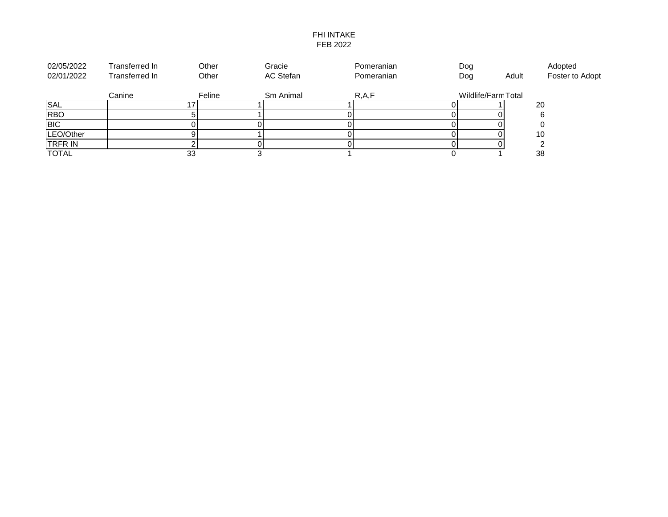## FHI INTAKE FEB 2022

| 02/05/2022     | Transferred In | Other  | Gracie    | Pomeranian | Dog                 |       | Adopted         |
|----------------|----------------|--------|-----------|------------|---------------------|-------|-----------------|
| 02/01/2022     | Transferred In | Other  | AC Stefan | Pomeranian | Dog                 | Adult | Foster to Adopt |
|                | Canine         | Feline | Sm Animal | R, A, F    | Wildlife/Farm Total |       |                 |
| <b>SAL</b>     |                |        |           |            |                     |       | 20              |
| <b>RBO</b>     |                |        |           |            |                     |       |                 |
| <b>BIC</b>     |                |        |           |            |                     |       |                 |
| LEO/Other      |                |        |           |            |                     |       | 10              |
| <b>TRFR IN</b> |                |        |           |            |                     |       |                 |
| <b>TOTAL</b>   |                | 33     |           |            |                     |       | 38              |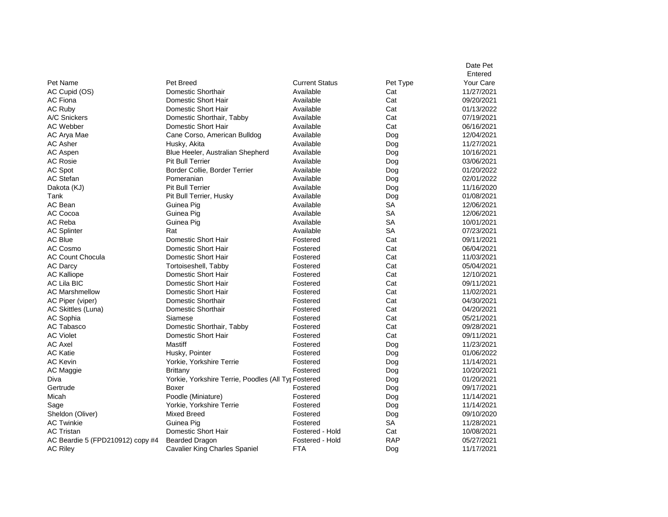| Pet Breed<br><b>Current Status</b><br>Your Care<br>Pet Name<br>Pet Type<br>Domestic Shorthair<br>11/27/2021<br>AC Cupid (OS)<br>Available<br>Cat<br>Domestic Short Hair<br>Cat<br>09/20/2021<br><b>AC Fiona</b><br>Available<br>AC Ruby<br>Domestic Short Hair<br>Available<br>Cat<br>01/13/2022<br>Domestic Shorthair, Tabby<br>Cat<br>07/19/2021<br>A/C Snickers<br>Available<br>Cat<br><b>AC Webber</b><br>Domestic Short Hair<br>Available<br>06/16/2021<br>AC Arya Mae<br>Cane Corso, American Bulldog<br>Available<br>12/04/2021<br>Dog<br><b>AC Asher</b><br>Available<br>11/27/2021<br>Husky, Akita<br>Dog<br>AC Aspen<br>Blue Heeler, Australian Shepherd<br>Available<br>10/16/2021<br>Dog<br><b>AC Rosie</b><br><b>Pit Bull Terrier</b><br>Available<br>03/06/2021<br>Dog<br>AC Spot<br>Border Collie, Border Terrier<br>Available<br>01/20/2022<br>Dog<br>AC Stefan<br>Pomeranian<br>Available<br>02/01/2022<br>Dog<br><b>Pit Bull Terrier</b><br>Available<br>Dakota (KJ)<br>Dog<br>11/16/2020<br>Tank<br>Pit Bull Terrier, Husky<br>Available<br>01/08/2021<br>Dog<br>AC Bean<br>Available<br><b>SA</b><br>12/06/2021<br>Guinea Pig<br><b>SA</b><br>AC Cocoa<br>Guinea Pig<br>12/06/2021<br>Available<br><b>SA</b><br>AC Reba<br>Available<br>10/01/2021<br>Guinea Pig<br><b>SA</b><br><b>AC Splinter</b><br>Rat<br>Available<br>07/23/2021<br><b>AC Blue</b><br>Domestic Short Hair<br>Cat<br>09/11/2021<br>Fostered<br>AC Cosmo<br>Domestic Short Hair<br>Cat<br>06/04/2021<br>Fostered<br>Domestic Short Hair<br>Cat<br>11/03/2021<br><b>AC Count Chocula</b><br>Fostered<br>Cat<br>05/04/2021<br><b>AC Darcy</b><br>Tortoiseshell, Tabby<br>Fostered<br>Cat<br><b>AC Kalliope</b><br>Domestic Short Hair<br>Fostered<br>12/10/2021<br><b>AC Lila BIC</b><br>Domestic Short Hair<br>Cat<br>09/11/2021<br>Fostered<br>Domestic Short Hair<br>Cat<br><b>AC Marshmellow</b><br>11/02/2021<br>Fostered<br>Cat<br>AC Piper (viper)<br>Domestic Shorthair<br>Fostered<br>04/30/2021<br>Domestic Shorthair<br>Cat<br>04/20/2021<br>AC Skittles (Luna)<br>Fostered<br>Cat<br>AC Sophia<br>Siamese<br>05/21/2021<br>Fostered<br><b>AC Tabasco</b><br>Cat<br>Domestic Shorthair, Tabby<br>09/28/2021<br>Fostered<br><b>AC Violet</b><br>Domestic Short Hair<br>Cat<br>09/11/2021<br>Fostered<br><b>AC Axel</b><br><b>Mastiff</b><br>11/23/2021<br>Fostered<br>Dog<br><b>AC Katie</b><br>01/06/2022<br>Husky, Pointer<br>Fostered<br>Dog<br><b>AC Kevin</b><br>Yorkie, Yorkshire Terrie<br>11/14/2021<br>Fostered<br>Dog<br>10/20/2021<br>AC Maggie<br>Brittany<br>Fostered<br>Dog<br>01/20/2021<br>Diva<br>Yorkie, Yorkshire Terrie, Poodles (All Tyr Fostered<br>Dog<br>Gertrude<br>Boxer<br>09/17/2021<br>Fostered<br>Dog<br>Poodle (Miniature)<br>11/14/2021<br>Micah<br>Fostered<br>Dog |  |  | Date Pet |
|----------------------------------------------------------------------------------------------------------------------------------------------------------------------------------------------------------------------------------------------------------------------------------------------------------------------------------------------------------------------------------------------------------------------------------------------------------------------------------------------------------------------------------------------------------------------------------------------------------------------------------------------------------------------------------------------------------------------------------------------------------------------------------------------------------------------------------------------------------------------------------------------------------------------------------------------------------------------------------------------------------------------------------------------------------------------------------------------------------------------------------------------------------------------------------------------------------------------------------------------------------------------------------------------------------------------------------------------------------------------------------------------------------------------------------------------------------------------------------------------------------------------------------------------------------------------------------------------------------------------------------------------------------------------------------------------------------------------------------------------------------------------------------------------------------------------------------------------------------------------------------------------------------------------------------------------------------------------------------------------------------------------------------------------------------------------------------------------------------------------------------------------------------------------------------------------------------------------------------------------------------------------------------------------------------------------------------------------------------------------------------------------------------------------------------------------------------------------------------------------------------------------------------------------------------------------------------------------------------------------------------------------------------------------------------------------------------------------------------------------------------------------------------------------------|--|--|----------|
|                                                                                                                                                                                                                                                                                                                                                                                                                                                                                                                                                                                                                                                                                                                                                                                                                                                                                                                                                                                                                                                                                                                                                                                                                                                                                                                                                                                                                                                                                                                                                                                                                                                                                                                                                                                                                                                                                                                                                                                                                                                                                                                                                                                                                                                                                                                                                                                                                                                                                                                                                                                                                                                                                                                                                                                                    |  |  | Entered  |
|                                                                                                                                                                                                                                                                                                                                                                                                                                                                                                                                                                                                                                                                                                                                                                                                                                                                                                                                                                                                                                                                                                                                                                                                                                                                                                                                                                                                                                                                                                                                                                                                                                                                                                                                                                                                                                                                                                                                                                                                                                                                                                                                                                                                                                                                                                                                                                                                                                                                                                                                                                                                                                                                                                                                                                                                    |  |  |          |
|                                                                                                                                                                                                                                                                                                                                                                                                                                                                                                                                                                                                                                                                                                                                                                                                                                                                                                                                                                                                                                                                                                                                                                                                                                                                                                                                                                                                                                                                                                                                                                                                                                                                                                                                                                                                                                                                                                                                                                                                                                                                                                                                                                                                                                                                                                                                                                                                                                                                                                                                                                                                                                                                                                                                                                                                    |  |  |          |
|                                                                                                                                                                                                                                                                                                                                                                                                                                                                                                                                                                                                                                                                                                                                                                                                                                                                                                                                                                                                                                                                                                                                                                                                                                                                                                                                                                                                                                                                                                                                                                                                                                                                                                                                                                                                                                                                                                                                                                                                                                                                                                                                                                                                                                                                                                                                                                                                                                                                                                                                                                                                                                                                                                                                                                                                    |  |  |          |
|                                                                                                                                                                                                                                                                                                                                                                                                                                                                                                                                                                                                                                                                                                                                                                                                                                                                                                                                                                                                                                                                                                                                                                                                                                                                                                                                                                                                                                                                                                                                                                                                                                                                                                                                                                                                                                                                                                                                                                                                                                                                                                                                                                                                                                                                                                                                                                                                                                                                                                                                                                                                                                                                                                                                                                                                    |  |  |          |
|                                                                                                                                                                                                                                                                                                                                                                                                                                                                                                                                                                                                                                                                                                                                                                                                                                                                                                                                                                                                                                                                                                                                                                                                                                                                                                                                                                                                                                                                                                                                                                                                                                                                                                                                                                                                                                                                                                                                                                                                                                                                                                                                                                                                                                                                                                                                                                                                                                                                                                                                                                                                                                                                                                                                                                                                    |  |  |          |
|                                                                                                                                                                                                                                                                                                                                                                                                                                                                                                                                                                                                                                                                                                                                                                                                                                                                                                                                                                                                                                                                                                                                                                                                                                                                                                                                                                                                                                                                                                                                                                                                                                                                                                                                                                                                                                                                                                                                                                                                                                                                                                                                                                                                                                                                                                                                                                                                                                                                                                                                                                                                                                                                                                                                                                                                    |  |  |          |
|                                                                                                                                                                                                                                                                                                                                                                                                                                                                                                                                                                                                                                                                                                                                                                                                                                                                                                                                                                                                                                                                                                                                                                                                                                                                                                                                                                                                                                                                                                                                                                                                                                                                                                                                                                                                                                                                                                                                                                                                                                                                                                                                                                                                                                                                                                                                                                                                                                                                                                                                                                                                                                                                                                                                                                                                    |  |  |          |
|                                                                                                                                                                                                                                                                                                                                                                                                                                                                                                                                                                                                                                                                                                                                                                                                                                                                                                                                                                                                                                                                                                                                                                                                                                                                                                                                                                                                                                                                                                                                                                                                                                                                                                                                                                                                                                                                                                                                                                                                                                                                                                                                                                                                                                                                                                                                                                                                                                                                                                                                                                                                                                                                                                                                                                                                    |  |  |          |
|                                                                                                                                                                                                                                                                                                                                                                                                                                                                                                                                                                                                                                                                                                                                                                                                                                                                                                                                                                                                                                                                                                                                                                                                                                                                                                                                                                                                                                                                                                                                                                                                                                                                                                                                                                                                                                                                                                                                                                                                                                                                                                                                                                                                                                                                                                                                                                                                                                                                                                                                                                                                                                                                                                                                                                                                    |  |  |          |
|                                                                                                                                                                                                                                                                                                                                                                                                                                                                                                                                                                                                                                                                                                                                                                                                                                                                                                                                                                                                                                                                                                                                                                                                                                                                                                                                                                                                                                                                                                                                                                                                                                                                                                                                                                                                                                                                                                                                                                                                                                                                                                                                                                                                                                                                                                                                                                                                                                                                                                                                                                                                                                                                                                                                                                                                    |  |  |          |
|                                                                                                                                                                                                                                                                                                                                                                                                                                                                                                                                                                                                                                                                                                                                                                                                                                                                                                                                                                                                                                                                                                                                                                                                                                                                                                                                                                                                                                                                                                                                                                                                                                                                                                                                                                                                                                                                                                                                                                                                                                                                                                                                                                                                                                                                                                                                                                                                                                                                                                                                                                                                                                                                                                                                                                                                    |  |  |          |
|                                                                                                                                                                                                                                                                                                                                                                                                                                                                                                                                                                                                                                                                                                                                                                                                                                                                                                                                                                                                                                                                                                                                                                                                                                                                                                                                                                                                                                                                                                                                                                                                                                                                                                                                                                                                                                                                                                                                                                                                                                                                                                                                                                                                                                                                                                                                                                                                                                                                                                                                                                                                                                                                                                                                                                                                    |  |  |          |
|                                                                                                                                                                                                                                                                                                                                                                                                                                                                                                                                                                                                                                                                                                                                                                                                                                                                                                                                                                                                                                                                                                                                                                                                                                                                                                                                                                                                                                                                                                                                                                                                                                                                                                                                                                                                                                                                                                                                                                                                                                                                                                                                                                                                                                                                                                                                                                                                                                                                                                                                                                                                                                                                                                                                                                                                    |  |  |          |
|                                                                                                                                                                                                                                                                                                                                                                                                                                                                                                                                                                                                                                                                                                                                                                                                                                                                                                                                                                                                                                                                                                                                                                                                                                                                                                                                                                                                                                                                                                                                                                                                                                                                                                                                                                                                                                                                                                                                                                                                                                                                                                                                                                                                                                                                                                                                                                                                                                                                                                                                                                                                                                                                                                                                                                                                    |  |  |          |
|                                                                                                                                                                                                                                                                                                                                                                                                                                                                                                                                                                                                                                                                                                                                                                                                                                                                                                                                                                                                                                                                                                                                                                                                                                                                                                                                                                                                                                                                                                                                                                                                                                                                                                                                                                                                                                                                                                                                                                                                                                                                                                                                                                                                                                                                                                                                                                                                                                                                                                                                                                                                                                                                                                                                                                                                    |  |  |          |
|                                                                                                                                                                                                                                                                                                                                                                                                                                                                                                                                                                                                                                                                                                                                                                                                                                                                                                                                                                                                                                                                                                                                                                                                                                                                                                                                                                                                                                                                                                                                                                                                                                                                                                                                                                                                                                                                                                                                                                                                                                                                                                                                                                                                                                                                                                                                                                                                                                                                                                                                                                                                                                                                                                                                                                                                    |  |  |          |
|                                                                                                                                                                                                                                                                                                                                                                                                                                                                                                                                                                                                                                                                                                                                                                                                                                                                                                                                                                                                                                                                                                                                                                                                                                                                                                                                                                                                                                                                                                                                                                                                                                                                                                                                                                                                                                                                                                                                                                                                                                                                                                                                                                                                                                                                                                                                                                                                                                                                                                                                                                                                                                                                                                                                                                                                    |  |  |          |
|                                                                                                                                                                                                                                                                                                                                                                                                                                                                                                                                                                                                                                                                                                                                                                                                                                                                                                                                                                                                                                                                                                                                                                                                                                                                                                                                                                                                                                                                                                                                                                                                                                                                                                                                                                                                                                                                                                                                                                                                                                                                                                                                                                                                                                                                                                                                                                                                                                                                                                                                                                                                                                                                                                                                                                                                    |  |  |          |
|                                                                                                                                                                                                                                                                                                                                                                                                                                                                                                                                                                                                                                                                                                                                                                                                                                                                                                                                                                                                                                                                                                                                                                                                                                                                                                                                                                                                                                                                                                                                                                                                                                                                                                                                                                                                                                                                                                                                                                                                                                                                                                                                                                                                                                                                                                                                                                                                                                                                                                                                                                                                                                                                                                                                                                                                    |  |  |          |
|                                                                                                                                                                                                                                                                                                                                                                                                                                                                                                                                                                                                                                                                                                                                                                                                                                                                                                                                                                                                                                                                                                                                                                                                                                                                                                                                                                                                                                                                                                                                                                                                                                                                                                                                                                                                                                                                                                                                                                                                                                                                                                                                                                                                                                                                                                                                                                                                                                                                                                                                                                                                                                                                                                                                                                                                    |  |  |          |
|                                                                                                                                                                                                                                                                                                                                                                                                                                                                                                                                                                                                                                                                                                                                                                                                                                                                                                                                                                                                                                                                                                                                                                                                                                                                                                                                                                                                                                                                                                                                                                                                                                                                                                                                                                                                                                                                                                                                                                                                                                                                                                                                                                                                                                                                                                                                                                                                                                                                                                                                                                                                                                                                                                                                                                                                    |  |  |          |
|                                                                                                                                                                                                                                                                                                                                                                                                                                                                                                                                                                                                                                                                                                                                                                                                                                                                                                                                                                                                                                                                                                                                                                                                                                                                                                                                                                                                                                                                                                                                                                                                                                                                                                                                                                                                                                                                                                                                                                                                                                                                                                                                                                                                                                                                                                                                                                                                                                                                                                                                                                                                                                                                                                                                                                                                    |  |  |          |
|                                                                                                                                                                                                                                                                                                                                                                                                                                                                                                                                                                                                                                                                                                                                                                                                                                                                                                                                                                                                                                                                                                                                                                                                                                                                                                                                                                                                                                                                                                                                                                                                                                                                                                                                                                                                                                                                                                                                                                                                                                                                                                                                                                                                                                                                                                                                                                                                                                                                                                                                                                                                                                                                                                                                                                                                    |  |  |          |
|                                                                                                                                                                                                                                                                                                                                                                                                                                                                                                                                                                                                                                                                                                                                                                                                                                                                                                                                                                                                                                                                                                                                                                                                                                                                                                                                                                                                                                                                                                                                                                                                                                                                                                                                                                                                                                                                                                                                                                                                                                                                                                                                                                                                                                                                                                                                                                                                                                                                                                                                                                                                                                                                                                                                                                                                    |  |  |          |
|                                                                                                                                                                                                                                                                                                                                                                                                                                                                                                                                                                                                                                                                                                                                                                                                                                                                                                                                                                                                                                                                                                                                                                                                                                                                                                                                                                                                                                                                                                                                                                                                                                                                                                                                                                                                                                                                                                                                                                                                                                                                                                                                                                                                                                                                                                                                                                                                                                                                                                                                                                                                                                                                                                                                                                                                    |  |  |          |
|                                                                                                                                                                                                                                                                                                                                                                                                                                                                                                                                                                                                                                                                                                                                                                                                                                                                                                                                                                                                                                                                                                                                                                                                                                                                                                                                                                                                                                                                                                                                                                                                                                                                                                                                                                                                                                                                                                                                                                                                                                                                                                                                                                                                                                                                                                                                                                                                                                                                                                                                                                                                                                                                                                                                                                                                    |  |  |          |
|                                                                                                                                                                                                                                                                                                                                                                                                                                                                                                                                                                                                                                                                                                                                                                                                                                                                                                                                                                                                                                                                                                                                                                                                                                                                                                                                                                                                                                                                                                                                                                                                                                                                                                                                                                                                                                                                                                                                                                                                                                                                                                                                                                                                                                                                                                                                                                                                                                                                                                                                                                                                                                                                                                                                                                                                    |  |  |          |
|                                                                                                                                                                                                                                                                                                                                                                                                                                                                                                                                                                                                                                                                                                                                                                                                                                                                                                                                                                                                                                                                                                                                                                                                                                                                                                                                                                                                                                                                                                                                                                                                                                                                                                                                                                                                                                                                                                                                                                                                                                                                                                                                                                                                                                                                                                                                                                                                                                                                                                                                                                                                                                                                                                                                                                                                    |  |  |          |
|                                                                                                                                                                                                                                                                                                                                                                                                                                                                                                                                                                                                                                                                                                                                                                                                                                                                                                                                                                                                                                                                                                                                                                                                                                                                                                                                                                                                                                                                                                                                                                                                                                                                                                                                                                                                                                                                                                                                                                                                                                                                                                                                                                                                                                                                                                                                                                                                                                                                                                                                                                                                                                                                                                                                                                                                    |  |  |          |
|                                                                                                                                                                                                                                                                                                                                                                                                                                                                                                                                                                                                                                                                                                                                                                                                                                                                                                                                                                                                                                                                                                                                                                                                                                                                                                                                                                                                                                                                                                                                                                                                                                                                                                                                                                                                                                                                                                                                                                                                                                                                                                                                                                                                                                                                                                                                                                                                                                                                                                                                                                                                                                                                                                                                                                                                    |  |  |          |
|                                                                                                                                                                                                                                                                                                                                                                                                                                                                                                                                                                                                                                                                                                                                                                                                                                                                                                                                                                                                                                                                                                                                                                                                                                                                                                                                                                                                                                                                                                                                                                                                                                                                                                                                                                                                                                                                                                                                                                                                                                                                                                                                                                                                                                                                                                                                                                                                                                                                                                                                                                                                                                                                                                                                                                                                    |  |  |          |
|                                                                                                                                                                                                                                                                                                                                                                                                                                                                                                                                                                                                                                                                                                                                                                                                                                                                                                                                                                                                                                                                                                                                                                                                                                                                                                                                                                                                                                                                                                                                                                                                                                                                                                                                                                                                                                                                                                                                                                                                                                                                                                                                                                                                                                                                                                                                                                                                                                                                                                                                                                                                                                                                                                                                                                                                    |  |  |          |
|                                                                                                                                                                                                                                                                                                                                                                                                                                                                                                                                                                                                                                                                                                                                                                                                                                                                                                                                                                                                                                                                                                                                                                                                                                                                                                                                                                                                                                                                                                                                                                                                                                                                                                                                                                                                                                                                                                                                                                                                                                                                                                                                                                                                                                                                                                                                                                                                                                                                                                                                                                                                                                                                                                                                                                                                    |  |  |          |
|                                                                                                                                                                                                                                                                                                                                                                                                                                                                                                                                                                                                                                                                                                                                                                                                                                                                                                                                                                                                                                                                                                                                                                                                                                                                                                                                                                                                                                                                                                                                                                                                                                                                                                                                                                                                                                                                                                                                                                                                                                                                                                                                                                                                                                                                                                                                                                                                                                                                                                                                                                                                                                                                                                                                                                                                    |  |  |          |
|                                                                                                                                                                                                                                                                                                                                                                                                                                                                                                                                                                                                                                                                                                                                                                                                                                                                                                                                                                                                                                                                                                                                                                                                                                                                                                                                                                                                                                                                                                                                                                                                                                                                                                                                                                                                                                                                                                                                                                                                                                                                                                                                                                                                                                                                                                                                                                                                                                                                                                                                                                                                                                                                                                                                                                                                    |  |  |          |
|                                                                                                                                                                                                                                                                                                                                                                                                                                                                                                                                                                                                                                                                                                                                                                                                                                                                                                                                                                                                                                                                                                                                                                                                                                                                                                                                                                                                                                                                                                                                                                                                                                                                                                                                                                                                                                                                                                                                                                                                                                                                                                                                                                                                                                                                                                                                                                                                                                                                                                                                                                                                                                                                                                                                                                                                    |  |  |          |
|                                                                                                                                                                                                                                                                                                                                                                                                                                                                                                                                                                                                                                                                                                                                                                                                                                                                                                                                                                                                                                                                                                                                                                                                                                                                                                                                                                                                                                                                                                                                                                                                                                                                                                                                                                                                                                                                                                                                                                                                                                                                                                                                                                                                                                                                                                                                                                                                                                                                                                                                                                                                                                                                                                                                                                                                    |  |  |          |
| Yorkie, Yorkshire Terrie<br>11/14/2021<br>Sage<br>Fostered<br>Dog                                                                                                                                                                                                                                                                                                                                                                                                                                                                                                                                                                                                                                                                                                                                                                                                                                                                                                                                                                                                                                                                                                                                                                                                                                                                                                                                                                                                                                                                                                                                                                                                                                                                                                                                                                                                                                                                                                                                                                                                                                                                                                                                                                                                                                                                                                                                                                                                                                                                                                                                                                                                                                                                                                                                  |  |  |          |
| Sheldon (Oliver)<br><b>Mixed Breed</b><br>09/10/2020<br>Fostered<br>Dog                                                                                                                                                                                                                                                                                                                                                                                                                                                                                                                                                                                                                                                                                                                                                                                                                                                                                                                                                                                                                                                                                                                                                                                                                                                                                                                                                                                                                                                                                                                                                                                                                                                                                                                                                                                                                                                                                                                                                                                                                                                                                                                                                                                                                                                                                                                                                                                                                                                                                                                                                                                                                                                                                                                            |  |  |          |
| <b>SA</b><br><b>AC Twinkie</b><br>11/28/2021<br>Guinea Pig<br>Fostered                                                                                                                                                                                                                                                                                                                                                                                                                                                                                                                                                                                                                                                                                                                                                                                                                                                                                                                                                                                                                                                                                                                                                                                                                                                                                                                                                                                                                                                                                                                                                                                                                                                                                                                                                                                                                                                                                                                                                                                                                                                                                                                                                                                                                                                                                                                                                                                                                                                                                                                                                                                                                                                                                                                             |  |  |          |
| <b>AC Tristan</b><br>Domestic Short Hair<br>Cat<br>10/08/2021<br>Fostered - Hold                                                                                                                                                                                                                                                                                                                                                                                                                                                                                                                                                                                                                                                                                                                                                                                                                                                                                                                                                                                                                                                                                                                                                                                                                                                                                                                                                                                                                                                                                                                                                                                                                                                                                                                                                                                                                                                                                                                                                                                                                                                                                                                                                                                                                                                                                                                                                                                                                                                                                                                                                                                                                                                                                                                   |  |  |          |
| <b>RAP</b><br>05/27/2021<br>AC Beardie 5 (FPD210912) copy #4<br><b>Bearded Dragon</b><br>Fostered - Hold                                                                                                                                                                                                                                                                                                                                                                                                                                                                                                                                                                                                                                                                                                                                                                                                                                                                                                                                                                                                                                                                                                                                                                                                                                                                                                                                                                                                                                                                                                                                                                                                                                                                                                                                                                                                                                                                                                                                                                                                                                                                                                                                                                                                                                                                                                                                                                                                                                                                                                                                                                                                                                                                                           |  |  |          |
| <b>AC Riley</b><br><b>Cavalier King Charles Spaniel</b><br>FTA<br>Dog<br>11/17/2021                                                                                                                                                                                                                                                                                                                                                                                                                                                                                                                                                                                                                                                                                                                                                                                                                                                                                                                                                                                                                                                                                                                                                                                                                                                                                                                                                                                                                                                                                                                                                                                                                                                                                                                                                                                                                                                                                                                                                                                                                                                                                                                                                                                                                                                                                                                                                                                                                                                                                                                                                                                                                                                                                                                |  |  |          |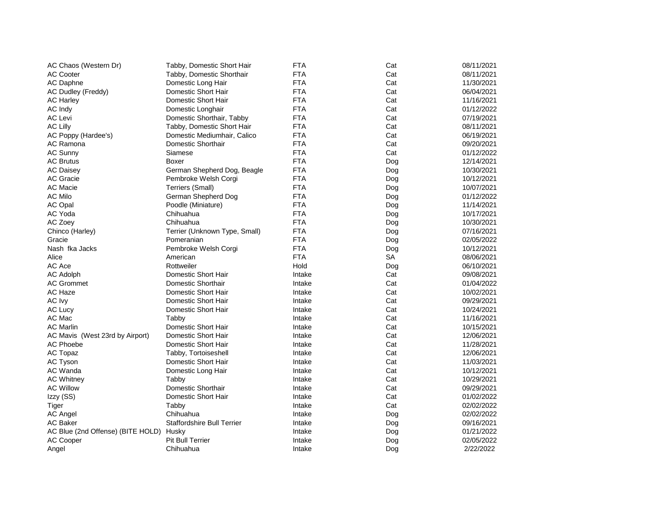| AC Chaos (Western Dr)                   | Tabby, Domestic Short Hair    | <b>FTA</b> | Cat | 08/11/2021 |
|-----------------------------------------|-------------------------------|------------|-----|------------|
| <b>AC Cooter</b>                        | Tabby, Domestic Shorthair     | <b>FTA</b> | Cat | 08/11/2021 |
| AC Daphne                               | Domestic Long Hair            | <b>FTA</b> | Cat | 11/30/2021 |
| AC Dudley (Freddy)                      | Domestic Short Hair           | <b>FTA</b> | Cat | 06/04/2021 |
| <b>AC Harley</b>                        | Domestic Short Hair           | <b>FTA</b> | Cat | 11/16/2021 |
| AC Indy                                 | Domestic Longhair             | <b>FTA</b> | Cat | 01/12/2022 |
| <b>AC Levi</b>                          | Domestic Shorthair, Tabby     | <b>FTA</b> | Cat | 07/19/2021 |
| <b>AC Lilly</b>                         | Tabby, Domestic Short Hair    | <b>FTA</b> | Cat | 08/11/2021 |
| AC Poppy (Hardee's)                     | Domestic Mediumhair, Calico   | <b>FTA</b> | Cat | 06/19/2021 |
| AC Ramona                               | Domestic Shorthair            | <b>FTA</b> | Cat | 09/20/2021 |
| <b>AC Sunny</b>                         | Siamese                       | <b>FTA</b> | Cat | 01/12/2022 |
| <b>AC Brutus</b>                        | Boxer                         | <b>FTA</b> | Dog | 12/14/2021 |
| <b>AC Daisey</b>                        | German Shepherd Dog, Beagle   | <b>FTA</b> | Dog | 10/30/2021 |
| AC Gracie                               | Pembroke Welsh Corgi          | <b>FTA</b> | Dog | 10/12/2021 |
| <b>AC Macie</b>                         | Terriers (Small)              | <b>FTA</b> | Dog | 10/07/2021 |
| AC Milo                                 | German Shepherd Dog           | <b>FTA</b> | Dog | 01/12/2022 |
| <b>AC Opal</b>                          | Poodle (Miniature)            | <b>FTA</b> | Dog | 11/14/2021 |
| AC Yoda                                 | Chihuahua                     | <b>FTA</b> | Dog | 10/17/2021 |
| AC Zoey                                 | Chihuahua                     | <b>FTA</b> | Dog | 10/30/2021 |
| Chinco (Harley)                         | Terrier (Unknown Type, Small) | <b>FTA</b> | Dog | 07/16/2021 |
| Gracie                                  | Pomeranian                    | <b>FTA</b> | Dog | 02/05/2022 |
| Nash fka Jacks                          | Pembroke Welsh Corgi          | <b>FTA</b> | Dog | 10/12/2021 |
| Alice                                   | American                      | <b>FTA</b> | SA  | 08/06/2021 |
| AC Ace                                  | Rottweiler                    | Hold       | Dog | 06/10/2021 |
| <b>AC Adolph</b>                        | Domestic Short Hair           | Intake     | Cat | 09/08/2021 |
| <b>AC Grommet</b>                       | Domestic Shorthair            | Intake     | Cat | 01/04/2022 |
| AC Haze                                 | Domestic Short Hair           | Intake     | Cat | 10/02/2021 |
| AC Ivy                                  | Domestic Short Hair           | Intake     | Cat | 09/29/2021 |
| <b>AC Lucy</b>                          | Domestic Short Hair           | Intake     | Cat | 10/24/2021 |
| AC Mac                                  | Tabby                         | Intake     | Cat | 11/16/2021 |
| <b>AC Marlin</b>                        | Domestic Short Hair           | Intake     | Cat | 10/15/2021 |
| AC Mavis (West 23rd by Airport)         | Domestic Short Hair           | Intake     | Cat | 12/06/2021 |
| <b>AC Phoebe</b>                        | Domestic Short Hair           | Intake     | Cat | 11/28/2021 |
| AC Topaz                                | Tabby, Tortoiseshell          | Intake     | Cat | 12/06/2021 |
| AC Tyson                                | Domestic Short Hair           | Intake     | Cat | 11/03/2021 |
| AC Wanda                                | Domestic Long Hair            | Intake     | Cat | 10/12/2021 |
| <b>AC Whitney</b>                       | Tabby                         | Intake     | Cat | 10/29/2021 |
| <b>AC Willow</b>                        | Domestic Shorthair            | Intake     | Cat | 09/29/2021 |
| Izzy (SS)                               | Domestic Short Hair           | Intake     | Cat | 01/02/2022 |
| Tiger                                   | Tabby                         | Intake     | Cat | 02/02/2022 |
| <b>AC Angel</b>                         | Chihuahua                     | Intake     | Dog | 02/02/2022 |
| AC Baker                                | Staffordshire Bull Terrier    | Intake     | Dog | 09/16/2021 |
| AC Blue (2nd Offense) (BITE HOLD) Husky |                               | Intake     | Dog | 01/21/2022 |
| <b>AC Cooper</b>                        | Pit Bull Terrier              | Intake     | Dog | 02/05/2022 |
| Angel                                   | Chihuahua                     | Intake     | Dog | 2/22/2022  |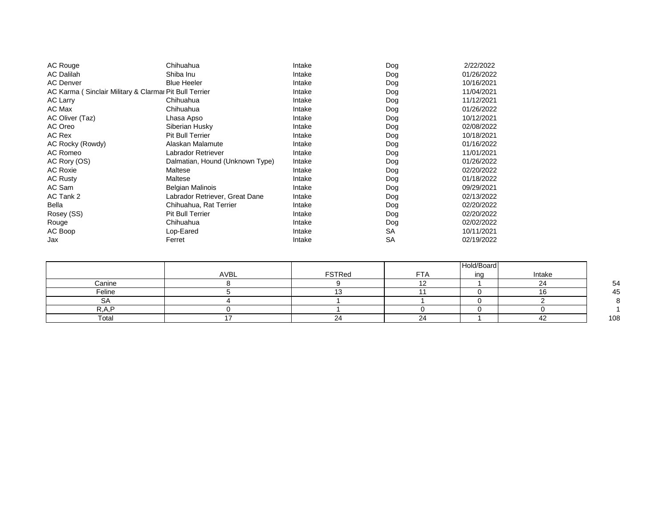| AC Rouge                                               | Chihuahua                       | Intake | Dog       | 2/22/2022  |
|--------------------------------------------------------|---------------------------------|--------|-----------|------------|
| <b>AC Dalilah</b>                                      | Shiba Inu                       | Intake | Dog       | 01/26/2022 |
| <b>AC Denver</b>                                       | <b>Blue Heeler</b>              | Intake | Dog       | 10/16/2021 |
| AC Karma (Sinclair Military & Clarmar Pit Bull Terrier |                                 | Intake | Dog       | 11/04/2021 |
| <b>AC Larry</b>                                        | Chihuahua                       | Intake | Dog       | 11/12/2021 |
| AC Max                                                 | Chihuahua                       | Intake | Dog       | 01/26/2022 |
| AC Oliver (Taz)                                        | Lhasa Apso                      | Intake | Dog       | 10/12/2021 |
| AC Oreo                                                | Siberian Husky                  | Intake | Dog       | 02/08/2022 |
| AC Rex                                                 | <b>Pit Bull Terrier</b>         | Intake | Dog       | 10/18/2021 |
| AC Rocky (Rowdy)                                       | Alaskan Malamute                | Intake | Dog       | 01/16/2022 |
| AC Romeo                                               | Labrador Retriever              | Intake | Dog       | 11/01/2021 |
| AC Rory (OS)                                           | Dalmatian, Hound (Unknown Type) | Intake | Dog       | 01/26/2022 |
| <b>AC Roxie</b>                                        | Maltese                         | Intake | Dog       | 02/20/2022 |
| <b>AC Rusty</b>                                        | Maltese                         | Intake | Dog       | 01/18/2022 |
| AC Sam                                                 | <b>Belgian Malinois</b>         | Intake | Dog       | 09/29/2021 |
| AC Tank 2                                              | Labrador Retriever, Great Dane  | Intake | Dog       | 02/13/2022 |
| Bella                                                  | Chihuahua, Rat Terrier          | Intake | Dog       | 02/20/2022 |
| Rosey (SS)                                             | <b>Pit Bull Terrier</b>         | Intake | Dog       | 02/20/2022 |
| Rouge                                                  | Chihuahua                       | Intake | Dog       | 02/02/2022 |
| AC Boop                                                | Lop-Eared                       | Intake | SA        | 10/11/2021 |
| Jax                                                    | Ferret                          | Intake | <b>SA</b> | 02/19/2022 |

|        |      |        |              | Hold/Board |        |     |
|--------|------|--------|--------------|------------|--------|-----|
|        | AVBL | FSTRed | et al.       | ing        | Intake |     |
| Canine |      |        |              |            | ⌒<br>∠ | 54  |
| Feline |      | ՝י     |              |            |        | 45  |
| OА     |      |        |              |            |        |     |
| D A D  |      |        |              |            |        |     |
| Total  |      | 24     | $\sim$<br>∠∽ |            |        | 108 |

8 1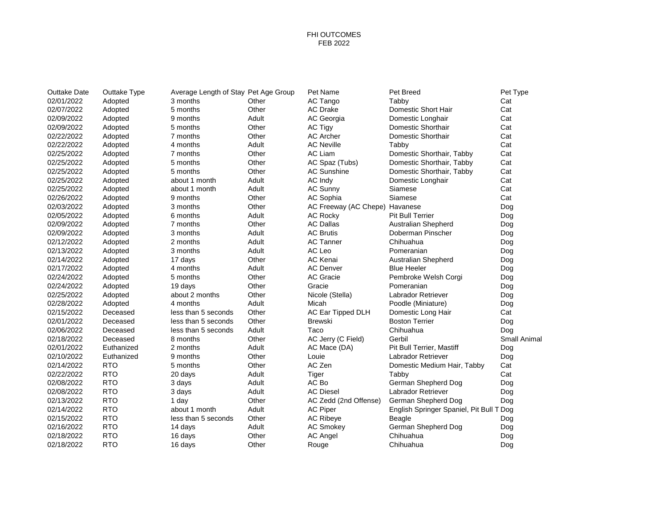### FHI OUTCOMES FEB 2022

| Outtake Date | Outtake Type | Average Length of Stay Pet Age Group |       | Pet Name                       | Pet Breed                                | Pet Type            |
|--------------|--------------|--------------------------------------|-------|--------------------------------|------------------------------------------|---------------------|
| 02/01/2022   | Adopted      | 3 months                             | Other | AC Tango                       | Tabby                                    | Cat                 |
| 02/07/2022   | Adopted      | 5 months                             | Other | <b>AC Drake</b>                | Domestic Short Hair                      | Cat                 |
| 02/09/2022   | Adopted      | 9 months                             | Adult | AC Georgia                     | Domestic Longhair                        | Cat                 |
| 02/09/2022   | Adopted      | 5 months                             | Other | AC Tigy                        | Domestic Shorthair                       | Cat                 |
| 02/22/2022   | Adopted      | 7 months                             | Other | <b>AC Archer</b>               | Domestic Shorthair                       | Cat                 |
| 02/22/2022   | Adopted      | 4 months                             | Adult | <b>AC Neville</b>              | Tabby                                    | Cat                 |
| 02/25/2022   | Adopted      | 7 months                             | Other | AC Liam                        | Domestic Shorthair, Tabby                | Cat                 |
| 02/25/2022   | Adopted      | 5 months                             | Other | AC Spaz (Tubs)                 | Domestic Shorthair, Tabby                | Cat                 |
| 02/25/2022   | Adopted      | 5 months                             | Other | <b>AC Sunshine</b>             | Domestic Shorthair, Tabby                | Cat                 |
| 02/25/2022   | Adopted      | about 1 month                        | Adult | AC Indy                        | Domestic Longhair                        | Cat                 |
| 02/25/2022   | Adopted      | about 1 month                        | Adult | <b>AC Sunny</b>                | Siamese                                  | Cat                 |
| 02/26/2022   | Adopted      | 9 months                             | Other | AC Sophia                      | Siamese                                  | Cat                 |
| 02/03/2022   | Adopted      | 3 months                             | Other | AC Freeway (AC Chepe) Havanese |                                          | Dog                 |
| 02/05/2022   | Adopted      | 6 months                             | Adult | <b>AC Rocky</b>                | <b>Pit Bull Terrier</b>                  | Dog                 |
| 02/09/2022   | Adopted      | 7 months                             | Other | <b>AC Dallas</b>               | Australian Shepherd                      | Dog                 |
| 02/09/2022   | Adopted      | 3 months                             | Adult | <b>AC Brutis</b>               | Doberman Pinscher                        | Dog                 |
| 02/12/2022   | Adopted      | 2 months                             | Adult | <b>AC Tanner</b>               | Chihuahua                                | Dog                 |
| 02/13/2022   | Adopted      | 3 months                             | Adult | AC Leo                         | Pomeranian                               | Dog                 |
| 02/14/2022   | Adopted      | 17 days                              | Other | AC Kenai                       | <b>Australian Shepherd</b>               | Dog                 |
| 02/17/2022   | Adopted      | 4 months                             | Adult | <b>AC Denver</b>               | <b>Blue Heeler</b>                       | Dog                 |
| 02/24/2022   | Adopted      | 5 months                             | Other | <b>AC Gracie</b>               | Pembroke Welsh Corgi                     | Dog                 |
| 02/24/2022   | Adopted      | 19 days                              | Other | Gracie                         | Pomeranian                               | Dog                 |
| 02/25/2022   | Adopted      | about 2 months                       | Other | Nicole (Stella)                | Labrador Retriever                       | Dog                 |
| 02/28/2022   | Adopted      | 4 months                             | Adult | Micah                          | Poodle (Miniature)                       | Dog                 |
| 02/15/2022   | Deceased     | less than 5 seconds                  | Other | AC Ear Tipped DLH              | Domestic Long Hair                       | Cat                 |
| 02/01/2022   | Deceased     | less than 5 seconds                  | Other | <b>Brewski</b>                 | <b>Boston Terrier</b>                    | Dog                 |
| 02/06/2022   | Deceased     | less than 5 seconds                  | Adult | Taco                           | Chihuahua                                | Dog                 |
| 02/18/2022   | Deceased     | 8 months                             | Other | AC Jerry (C Field)             | Gerbil                                   | <b>Small Animal</b> |
| 02/01/2022   | Euthanized   | 2 months                             | Adult | AC Mace (DA)                   | Pit Bull Terrier, Mastiff                | Dog                 |
| 02/10/2022   | Euthanized   | 9 months                             | Other | Louie                          | <b>Labrador Retriever</b>                | Dog                 |
| 02/14/2022   | <b>RTO</b>   | 5 months                             | Other | AC Zen                         | Domestic Medium Hair, Tabby              | Cat                 |
| 02/22/2022   | <b>RTO</b>   | 20 days                              | Adult | Tiger                          | Tabby                                    | Cat                 |
| 02/08/2022   | <b>RTO</b>   | 3 days                               | Adult | AC Bo                          | German Shepherd Dog                      | Dog                 |
| 02/08/2022   | <b>RTO</b>   | 3 days                               | Adult | <b>AC Diesel</b>               | Labrador Retriever                       | Dog                 |
| 02/13/2022   | <b>RTO</b>   | 1 day                                | Other | AC Zedd (2nd Offense)          | German Shepherd Dog                      | Dog                 |
| 02/14/2022   | <b>RTO</b>   | about 1 month                        | Adult | <b>AC Piper</b>                | English Springer Spaniel, Pit Bull T Dog |                     |
| 02/15/2022   | <b>RTO</b>   | less than 5 seconds                  | Other | <b>AC Ribeye</b>               | Beagle                                   | Dog                 |
| 02/16/2022   | <b>RTO</b>   | 14 days                              | Adult | <b>AC Smokey</b>               | German Shepherd Dog                      | Dog                 |
| 02/18/2022   | <b>RTO</b>   | 16 days                              | Other | <b>AC Angel</b>                | Chihuahua                                | Dog                 |
| 02/18/2022   | <b>RTO</b>   | 16 days                              | Other | Rouge                          | Chihuahua                                | Dog                 |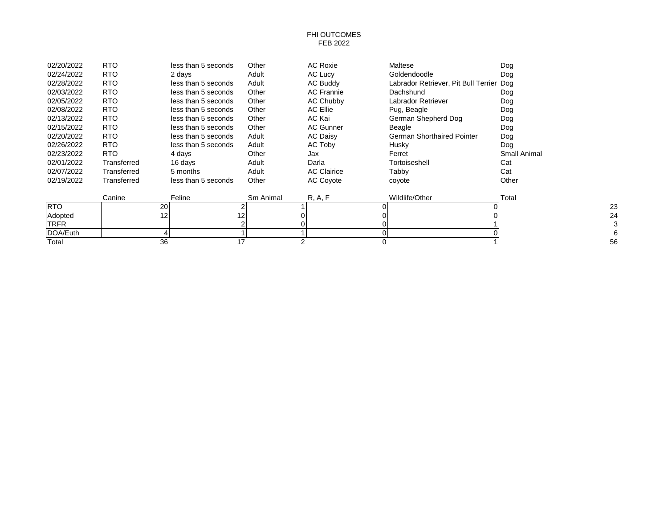#### FHI OUTCOMES FEB 2022

| 02/20/2022 | <b>RTO</b>  | less than 5 seconds | Other | <b>AC Roxie</b>    | Maltese                                  | Dog          |
|------------|-------------|---------------------|-------|--------------------|------------------------------------------|--------------|
| 02/24/2022 | <b>RTO</b>  | 2 days              | Adult | AC Lucy            | Goldendoodle                             | Dog          |
| 02/28/2022 | <b>RTO</b>  | less than 5 seconds | Adult | <b>AC Buddy</b>    | Labrador Retriever, Pit Bull Terrier Dog |              |
| 02/03/2022 | <b>RTO</b>  | less than 5 seconds | Other | <b>AC Frannie</b>  | Dachshund                                | Dog          |
| 02/05/2022 | <b>RTO</b>  | less than 5 seconds | Other | AC Chubby          | Labrador Retriever                       | Dog          |
| 02/08/2022 | <b>RTO</b>  | less than 5 seconds | Other | AC Ellie           | Pug, Beagle                              | Dog          |
| 02/13/2022 | <b>RTO</b>  | less than 5 seconds | Other | AC Kai             | German Shepherd Dog                      | Dog          |
| 02/15/2022 | <b>RTO</b>  | less than 5 seconds | Other | <b>AC Gunner</b>   | Beagle                                   | Dog          |
| 02/20/2022 | <b>RTO</b>  | less than 5 seconds | Adult | <b>AC Daisy</b>    | German Shorthaired Pointer               | Dog          |
| 02/26/2022 | <b>RTO</b>  | less than 5 seconds | Adult | AC Toby            | Husky                                    | Dog          |
| 02/23/2022 | RTO.        | 4 davs              | Other | Jax                | Ferret                                   | Small Animal |
| 02/01/2022 | Transferred | 16 days             | Adult | Darla              | Tortoiseshell                            | Cat          |
| 02/07/2022 | Transferred | 5 months            | Adult | <b>AC Clairice</b> | Tabby                                    | Cat          |
| 02/19/2022 | Transferred | less than 5 seconds | Other | <b>AC Coyote</b>   | coyote                                   | Other        |
|            |             |                     |       |                    |                                          |              |

|            | Canine  | Feline | Sm Animal | $\sim$ | Wildlife/Other | Total |
|------------|---------|--------|-----------|--------|----------------|-------|
| <b>RTC</b> | ົ<br>∠∪ |        |           |        |                | 23    |
| Adopted    |         |        |           |        |                | 24    |
| TRFR       |         |        |           |        |                |       |
| DOA/Euth   |         |        |           |        |                |       |
| Total      | ົ<br>ບບ |        |           |        |                | 56    |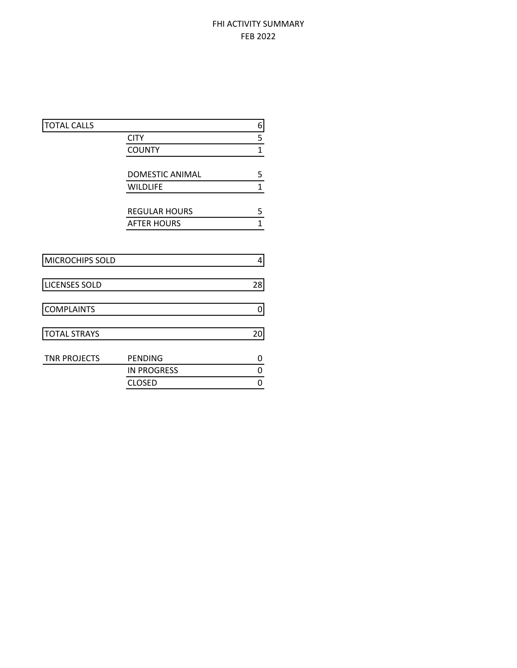# FHI ACTIVITY SUMMARY FEB 2022

| <b>TOTAL CALLS</b>   |                        | 6            |
|----------------------|------------------------|--------------|
|                      | <b>CITY</b>            | 5            |
|                      | <b>COUNTY</b>          | $\mathbf 1$  |
|                      |                        |              |
|                      | <b>DOMESTIC ANIMAL</b> | 5            |
|                      | <b>WILDLIFE</b>        | $\mathbf{1}$ |
|                      | <b>REGULAR HOURS</b>   | 5            |
|                      | <b>AFTER HOURS</b>     | $\mathbf{1}$ |
|                      |                        |              |
| MICROCHIPS SOLD      |                        | 4            |
| <b>LICENSES SOLD</b> |                        | 28           |
| <b>COMPLAINTS</b>    |                        | 0            |
| <b>TOTAL STRAYS</b>  |                        | 20           |
| <b>TNR PROJECTS</b>  | <b>PENDING</b>         | 0            |
|                      | <b>IN PROGRESS</b>     | 0            |
|                      | <b>CLOSED</b>          | 0            |